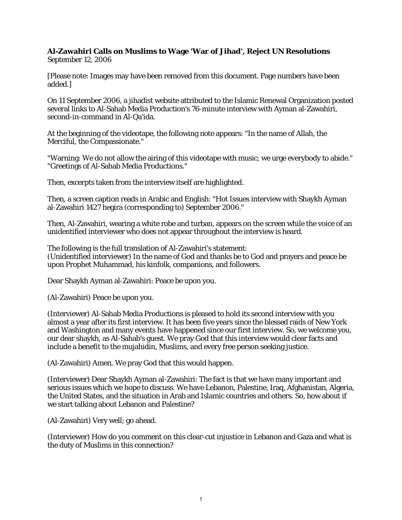## **Al-Zawahiri Calls on Muslims to Wage 'War of Jihad', Reject UN Resolutions** September 12, 2006

[Please note: Images may have been removed from this document. Page numbers have been added.]

On 11 September 2006, a jihadist website attributed to the Islamic Renewal Organization posted several links to Al-Sahab Media Production's 76-minute interview with Ayman al-Zawahiri, second-in-command in Al-Qa'ida.

At the beginning of the videotape, the following note appears: "In the name of Allah, the Merciful, the Compassionate."

"Warning: We do not allow the airing of this videotape with music; we urge everybody to abide." "Greetings of Al-Sahab Media Productions."

Then, excerpts taken from the interview itself are highlighted.

Then, a screen caption reads in Arabic and English: "Hot Issues interview with Shaykh Ayman al-Zawahiri 1427 hegira (corresponding to) September 2006."

Then, Al-Zawahiri, wearing a white robe and turban, appears on the screen while the voice of an unidentified interviewer who does not appear throughout the interview is heard.

The following is the full translation of Al-Zawahiri's statement: (Unidentified interviewer) In the name of God and thanks be to God and prayers and peace be upon Prophet Muhammad, his kinfolk, companions, and followers.

Dear Shaykh Ayman al-Zawahiri: Peace be upon you.

(Al-Zawahiri) Peace be upon you.

(Interviewer) Al-Sahab Media Productions is pleased to hold its second interview with you almost a year after its first interview. It has been five years since the blessed raids of New York and Washington and many events have happened since our first interview. So, we welcome you, our dear shaykh, as Al-Sahab's guest. We pray God that this interview would clear facts and include a benefit to the mujahidin, Muslims, and every free person seeking justice.

(Al-Zawahiri) Amen. We pray God that this would happen.

(Interviewer) Dear Shaykh Ayman al-Zawahiri: The fact is that we have many important and serious issues which we hope to discuss. We have Lebanon, Palestine, Iraq, Afghanistan, Algeria, the United States, and the situation in Arab and Islamic countries and others. So, how about if we start talking about Lebanon and Palestine?

(Al-Zawahiri) Very well; go ahead.

(Interviewer) How do you comment on this clear-cut injustice in Lebanon and Gaza and what is the duty of Muslims in this connection?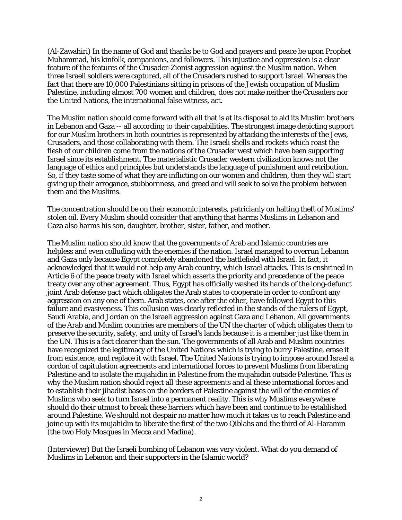(Al-Zawahiri) In the name of God and thanks be to God and prayers and peace be upon Prophet Muhammad, his kinfolk, companions, and followers. This injustice and oppression is a clear feature of the features of the Crusader-Zionist aggression against the Muslim nation. When three Israeli soldiers were captured, all of the Crusaders rushed to support Israel. Whereas the fact that there are 10,000 Palestinians sitting in prisons of the Jewish occupation of Muslim Palestine, including almost 700 women and children, does not make neither the Crusaders nor the United Nations, the international false witness, act.

The Muslim nation should come forward with all that is at its disposal to aid its Muslim brothers in Lebanon and Gaza -- all according to their capabilities. The strongest image depicting support for our Muslim brothers in both countries is represented by attacking the interests of the Jews, Crusaders, and those collaborating with them. The Israeli shells and rockets which roast the flesh of our children come from the nations of the Crusader west which have been supporting Israel since its establishment. The materialistic Crusader western civilization knows not the language of ethics and principles but understands the language of punishment and retribution. So, if they taste some of what they are inflicting on our women and children, then they will start giving up their arrogance, stubbornness, and greed and will seek to solve the problem between them and the Muslims.

The concentration should be on their economic interests, patricianly on halting theft of Muslims' stolen oil. Every Muslim should consider that anything that harms Muslims in Lebanon and Gaza also harms his son, daughter, brother, sister, father, and mother.

The Muslim nation should know that the governments of Arab and Islamic countries are helpless and even colluding with the enemies if the nation. Israel managed to overrun Lebanon and Gaza only because Egypt completely abandoned the battlefield with Israel. In fact, it acknowledged that it would not help any Arab country, which Israel attacks. This is enshrined in Article 6 of the peace treaty with Israel which asserts the priority and precedence of the peace treaty over any other agreement. Thus, Egypt has officially washed its hands of the long-defunct joint Arab defense pact which obligates the Arab states to cooperate in order to confront any aggression on any one of them. Arab states, one after the other, have followed Egypt to this failure and evasiveness. This collusion was clearly reflected in the stands of the rulers of Egypt, Saudi Arabia, and Jordan on the Israeli aggression against Gaza and Lebanon. All governments of the Arab and Muslim countries are members of the UN the charter of which obligates them to preserve the security, safety, and unity of Israel's lands because it is a member just like them in the UN. This is a fact clearer than the sun. The governments of all Arab and Muslim countries have recognized the legitimacy of the United Nations which is trying to burry Palestine, erase it from existence, and replace it with Israel. The United Nations is trying to impose around Israel a cordon of capitulation agreements and international forces to prevent Muslims from liberating Palestine and to isolate the mujahidin in Palestine from the mujahidin outside Palestine. This is why the Muslim nation should reject all these agreements and al these international forces and to establish their jihadist bases on the borders of Palestine against the will of the enemies of Muslims who seek to turn Israel into a permanent reality. This is why Muslims everywhere should do their utmost to break these barriers which have been and continue to be established around Palestine. We should not despair no matter how much it takes us to reach Palestine and joine up with its mujahidin to liberate the first of the two Qiblahs and the third of Al-Haramin (the two Holy Mosques in Mecca and Madina).

(Interviewer) But the Israeli bombing of Lebanon was very violent. What do you demand of Muslims in Lebanon and their supporters in the Islamic world?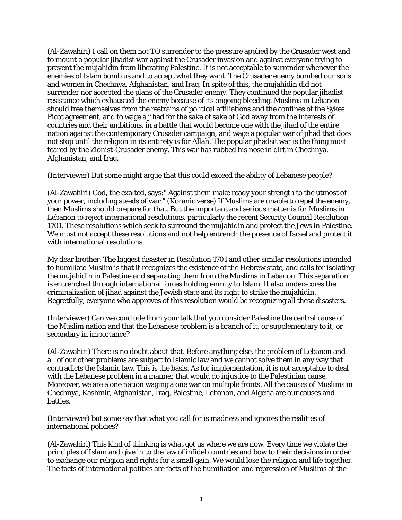(Al-Zawahiri) I call on them not TO surrender to the pressure applied by the Crusader west and to mount a popular jihadist war against the Crusader invasion and against everyone trying to prevent the mujahidin from liberating Palestine. It is not acceptable to surrender whenever the enemies of Islam bomb us and to accept what they want. The Crusader enemy bombed our sons and women in Chechnya, Afghanistan, and Iraq. In spite of this, the mujahidin did not surrender nor accepted the plans of the Crusader enemy. They continued the popular jihadist resistance which exhausted the enemy because of its ongoing bleeding. Muslims in Lebanon should free themselves from the restrains of political affiliations and the confines of the Sykes Picot agreement, and to wage a jihad for the sake of sake of God away from the interests of countries and their ambitions, in a battle that would become one with the jihad of the entire nation against the contemporary Crusader campaign; and wage a popular war of jihad that does not stop until the religion in its entirety is for Allah. The popular jihadsit war is the thing most feared by the Zionist-Crusader enemy. This war has rubbed his nose in dirt in Chechnya, Afghanistan, and Iraq.

(Interviewer) But some might argue that this could exceed the ability of Lebanese people?

(Al-Zawahiri) God, the exalted, says:" Against them make ready your strength to the utmost of your power, including steeds of war." (Koranic verse) If Muslims are unable to repel the enemy, then Muslims should prepare for that. But the important and serious matter is for Muslims in Lebanon to reject international resolutions, particularly the recent Security Council Resolution 1701. These resolutions which seek to surround the mujahidin and protect the Jews in Palestine. We must not accept these resolutions and not help entrench the presence of Israel and protect it with international resolutions.

My dear brother: The biggest disaster in Resolution 1701 and other similar resolutions intended to humiliate Muslim is that it recognizes the existence of the Hebrew state, and calls for isolating the mujahidin in Palestine and separating them from the Muslims in Lebanon. This separation is entrenched through international forces holding enmity to Islam. It also underscores the criminalization of jihad against the Jewish state and its right to strike the mujahidin. Regretfully, everyone who approves of this resolution would be recognizing all these disasters.

(Interviewer) Can we conclude from your talk that you consider Palestine the central cause of the Muslim nation and that the Lebanese problem is a branch of it, or supplementary to it, or secondary in importance?

(Al-Zawahiri) There is no doubt about that. Before anything else, the problem of Lebanon and all of our other problems are subject to Islamic law and we cannot solve them in any way that contradicts the Islamic law. This is the basis. As for implementation, it is not acceptable to deal with the Lebanese problem in a manner that would do injustice to the Palestinian cause. Moreover, we are a one nation waging a one war on multiple fronts. All the causes of Muslims in Chechnya, Kashmir, Afghanistan, Iraq, Palestine, Lebanon, and Algeria are our causes and battles.

(Interviewer) but some say that what you call for is madness and ignores the realities of international policies?

(Al-Zawahiri) This kind of thinking is what got us where we are now. Every time we violate the principles of Islam and give in to the law of infidel countries and bow to their decisions in order to exchange our religion and rights for a small gain. We would lose the religion and life together. The facts of international politics are facts of the humiliation and repression of Muslims at the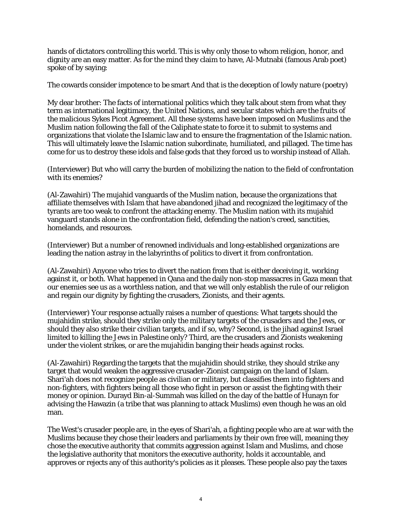hands of dictators controlling this world. This is why only those to whom religion, honor, and dignity are an easy matter. As for the mind they claim to have, Al-Mutnabi (famous Arab poet) spoke of by saying:

The cowards consider impotence to be smart And that is the deception of lowly nature (poetry)

My dear brother: The facts of international politics which they talk about stem from what they term as international legitimacy, the United Nations, and secular states which are the fruits of the malicious Sykes Picot Agreement. All these systems have been imposed on Muslims and the Muslim nation following the fall of the Caliphate state to force it to submit to systems and organizations that violate the Islamic law and to ensure the fragmentation of the Islamic nation. This will ultimately leave the Islamic nation subordinate, humiliated, and pillaged. The time has come for us to destroy these idols and false gods that they forced us to worship instead of Allah.

(Interviewer) But who will carry the burden of mobilizing the nation to the field of confrontation with its enemies?

(Al-Zawahiri) The mujahid vanguards of the Muslim nation, because the organizations that affiliate themselves with Islam that have abandoned jihad and recognized the legitimacy of the tyrants are too weak to confront the attacking enemy. The Muslim nation with its mujahid vanguard stands alone in the confrontation field, defending the nation's creed, sanctities, homelands, and resources.

(Interviewer) But a number of renowned individuals and long-established organizations are leading the nation astray in the labyrinths of politics to divert it from confrontation.

(Al-Zawahiri) Anyone who tries to divert the nation from that is either deceiving it, working against it, or both. What happened in Qana and the daily non-stop massacres in Gaza mean that our enemies see us as a worthless nation, and that we will only establish the rule of our religion and regain our dignity by fighting the crusaders, Zionists, and their agents.

(Interviewer) Your response actually raises a number of questions: What targets should the mujahidin strike, should they strike only the military targets of the crusaders and the Jews, or should they also strike their civilian targets, and if so, why? Second, is the jihad against Israel limited to killing the Jews in Palestine only? Third, are the crusaders and Zionists weakening under the violent strikes, or are the mujahidin banging their heads against rocks.

(Al-Zawahiri) Regarding the targets that the mujahidin should strike, they should strike any target that would weaken the aggressive crusader-Zionist campaign on the land of Islam. Shari'ah does not recognize people as civilian or military, but classifies them into fighters and non-fighters, with fighters being all those who fight in person or assist the fighting with their money or opinion. Durayd Bin-al-Summah was killed on the day of the battle of Hunayn for advising the Hawazin (a tribe that was planning to attack Muslims) even though he was an old man.

The West's crusader people are, in the eyes of Shari'ah, a fighting people who are at war with the Muslims because they chose their leaders and parliaments by their own free will, meaning they chose the executive authority that commits aggression against Islam and Muslims, and chose the legislative authority that monitors the executive authority, holds it accountable, and approves or rejects any of this authority's policies as it pleases. These people also pay the taxes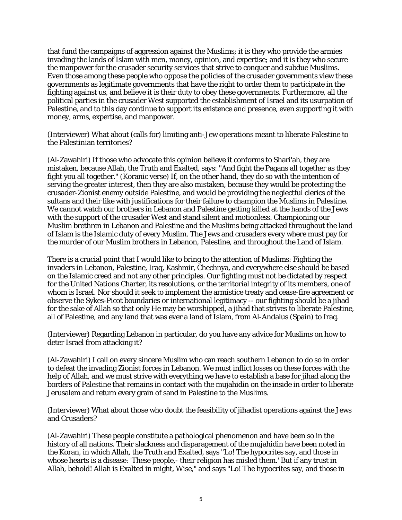that fund the campaigns of aggression against the Muslims; it is they who provide the armies invading the lands of Islam with men, money, opinion, and expertise; and it is they who secure the manpower for the crusader security services that strive to conquer and subdue Muslims. Even those among these people who oppose the policies of the crusader governments view these governments as legitimate governments that have the right to order them to participate in the fighting against us, and believe it is their duty to obey these governments. Furthermore, all the political parties in the crusader West supported the establishment of Israel and its usurpation of Palestine, and to this day continue to support its existence and presence, even supporting it with money, arms, expertise, and manpower.

(Interviewer) What about (calls for) limiting anti-Jew operations meant to liberate Palestine to the Palestinian territories?

(Al-Zawahiri) If those who advocate this opinion believe it conforms to Shari'ah, they are mistaken, because Allah, the Truth and Exalted, says: "And fight the Pagans all together as they fight you all together." (Koranic verse) If, on the other hand, they do so with the intention of serving the greater interest, then they are also mistaken, because they would be protecting the crusader-Zionist enemy outside Palestine, and would be providing the neglectful clerics of the sultans and their like with justifications for their failure to champion the Muslims in Palestine. We cannot watch our brothers in Lebanon and Palestine getting killed at the hands of the Jews with the support of the crusader West and stand silent and motionless. Championing our Muslim brethren in Lebanon and Palestine and the Muslims being attacked throughout the land of Islam is the Islamic duty of every Muslim. The Jews and crusaders every where must pay for the murder of our Muslim brothers in Lebanon, Palestine, and throughout the Land of Islam.

There is a crucial point that I would like to bring to the attention of Muslims: Fighting the invaders in Lebanon, Palestine, Iraq, Kashmir, Chechnya, and everywhere else should be based on the Islamic creed and not any other principles. Our fighting must not be dictated by respect for the United Nations Charter, its resolutions, or the territorial integrity of its members, one of whom is Israel. Nor should it seek to implement the armistice treaty and cease-fire agreement or observe the Sykes-Picot boundaries or international legitimacy -- our fighting should be a jihad for the sake of Allah so that only He may be worshipped, a jihad that strives to liberate Palestine, all of Palestine, and any land that was ever a land of Islam, from Al-Andalus (Spain) to Iraq.

(Interviewer) Regarding Lebanon in particular, do you have any advice for Muslims on how to deter Israel from attacking it?

(Al-Zawahiri) I call on every sincere Muslim who can reach southern Lebanon to do so in order to defeat the invading Zionist forces in Lebanon. We must inflict losses on these forces with the help of Allah, and we must strive with everything we have to establish a base for jihad along the borders of Palestine that remains in contact with the mujahidin on the inside in order to liberate Jerusalem and return every grain of sand in Palestine to the Muslims.

(Interviewer) What about those who doubt the feasibility of jihadist operations against the Jews and Crusaders?

(Al-Zawahiri) These people constitute a pathological phenomenon and have been so in the history of all nations. Their slackness and disparagement of the mujahidin have been noted in the Koran, in which Allah, the Truth and Exalted, says "Lo! The hypocrites say, and those in whose hearts is a disease: 'These people,- their religion has misled them.' But if any trust in Allah, behold! Allah is Exalted in might, Wise," and says "Lo! The hypocrites say, and those in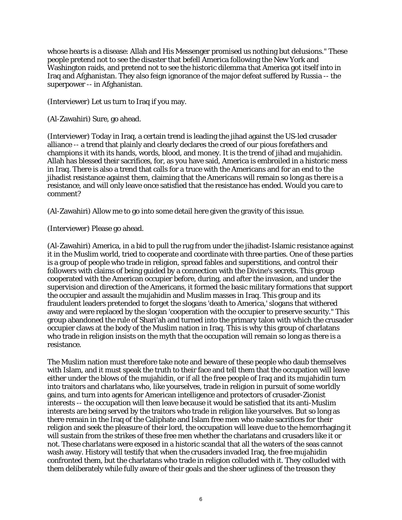whose hearts is a disease: Allah and His Messenger promised us nothing but delusions." These people pretend not to see the disaster that befell America following the New York and Washington raids, and pretend not to see the historic dilemma that America got itself into in Iraq and Afghanistan. They also feign ignorance of the major defeat suffered by Russia -- the superpower -- in Afghanistan.

(Interviewer) Let us turn to Iraq if you may.

(Al-Zawahiri) Sure, go ahead.

(Interviewer) Today in Iraq, a certain trend is leading the jihad against the US-led crusader alliance -- a trend that plainly and clearly declares the creed of our pious forefathers and champions it with its hands, words, blood, and money. It is the trend of jihad and mujahidin. Allah has blessed their sacrifices, for, as you have said, America is embroiled in a historic mess in Iraq. There is also a trend that calls for a truce with the Americans and for an end to the jihadist resistance against them, claiming that the Americans will remain so long as there is a resistance, and will only leave once satisfied that the resistance has ended. Would you care to comment?

(Al-Zawahiri) Allow me to go into some detail here given the gravity of this issue.

(Interviewer) Please go ahead.

(Al-Zawahiri) America, in a bid to pull the rug from under the jihadist-Islamic resistance against it in the Muslim world, tried to cooperate and coordinate with three parties. One of these parties is a group of people who trade in religion, spread fables and superstitions, and control their followers with claims of being guided by a connection with the Divine's secrets. This group cooperated with the American occupier before, during, and after the invasion, and under the supervision and direction of the Americans, it formed the basic military formations that support the occupier and assault the mujahidin and Muslim masses in Iraq. This group and its fraudulent leaders pretended to forget the slogans 'death to America,' slogans that withered away and were replaced by the slogan 'cooperation with the occupier to preserve security." This group abandoned the rule of Shari'ah and turned into the primary talon with which the crusader occupier claws at the body of the Muslim nation in Iraq. This is why this group of charlatans who trade in religion insists on the myth that the occupation will remain so long as there is a resistance.

The Muslim nation must therefore take note and beware of these people who daub themselves with Islam, and it must speak the truth to their face and tell them that the occupation will leave either under the blows of the mujahidin, or if all the free people of Iraq and its mujahidin turn into traitors and charlatans who, like yourselves, trade in religion in pursuit of some worldly gains, and turn into agents for American intelligence and protectors of crusader-Zionist interests -- the occupation will then leave because it would be satisfied that its anti-Muslim interests are being served by the traitors who trade in religion like yourselves. But so long as there remain in the Iraq of the Caliphate and Islam free men who make sacrifices for their religion and seek the pleasure of their lord, the occupation will leave due to the hemorrhaging it will sustain from the strikes of these free men whether the charlatans and crusaders like it or not. These charlatans were exposed in a historic scandal that all the waters of the seas cannot wash away. History will testify that when the crusaders invaded Iraq, the free mujahidin confronted them, but the charlatans who trade in religion colluded with it. They colluded with them deliberately while fully aware of their goals and the sheer ugliness of the treason they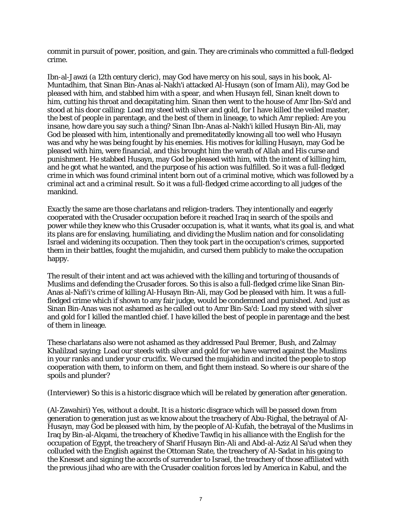commit in pursuit of power, position, and gain. They are criminals who committed a full-fledged crime.

Ibn-al-Jawzi (a 12th century cleric), may God have mercy on his soul, says in his book, Al-Muntadhim, that Sinan Bin-Anas al-Nakh'i attacked Al-Husayn (son of Imam Ali), may God be pleased with him, and stabbed him with a spear, and when Husayn fell, Sinan knelt down to him, cutting his throat and decapitating him. Sinan then went to the house of Amr Ibn-Sa'd and stood at his door calling: Load my steed with silver and gold, for I have killed the veiled master, the best of people in parentage, and the best of them in lineage, to which Amr replied: Are you insane, how dare you say such a thing? Sinan Ibn-Anas al-Nakh'i killed Husayn Bin-Ali, may God be pleased with him, intentionally and premeditatedly knowing all too well who Husayn was and why he was being fought by his enemies. His motives for killing Husayn, may God be pleased with him, were financial, and this brought him the wrath of Allah and His curse and punishment. He stabbed Husayn, may God be pleased with him, with the intent of killing him, and he got what he wanted, and the purpose of his action was fulfilled. So it was a full-fledged crime in which was found criminal intent born out of a criminal motive, which was followed by a criminal act and a criminal result. So it was a full-fledged crime according to all judges of the mankind.

Exactly the same are those charlatans and religion-traders. They intentionally and eagerly cooperated with the Crusader occupation before it reached Iraq in search of the spoils and power while they knew who this Crusader occupation is, what it wants, what its goal is, and what its plans are for enslaving, humiliating, and dividing the Muslim nation and for consolidating Israel and widening its occupation. Then they took part in the occupation's crimes, supported them in their battles, fought the mujahidin, and cursed them publicly to make the occupation happy.

The result of their intent and act was achieved with the killing and torturing of thousands of Muslims and defending the Crusader forces. So this is also a full-fledged crime like Sinan Bin-Anas al-Nafi'i's crime of killing Al-Husayn Bin-Ali, may God be pleased with him. It was a fullfledged crime which if shown to any fair judge, would be condemned and punished. And just as Sinan Bin-Anas was not ashamed as he called out to Amr Bin-Sa'd: Load my steed with silver and gold for I killed the mantled chief. I have killed the best of people in parentage and the best of them in lineage.

These charlatans also were not ashamed as they addressed Paul Bremer, Bush, and Zalmay Khalilzad saying: Load our steeds with silver and gold for we have warred against the Muslims in your ranks and under your crucifix. We cursed the mujahidin and incited the people to stop cooperation with them, to inform on them, and fight them instead. So where is our share of the spoils and plunder?

(Interviewer) So this is a historic disgrace which will be related by generation after generation.

(Al-Zawahiri) Yes, without a doubt. It is a historic disgrace which will be passed down from generation to generation just as we know about the treachery of Abu-Righal, the betrayal of Al-Husayn, may God be pleased with him, by the people of Al-Kufah, the betrayal of the Muslims in Iraq by Bin-al-Alqami, the treachery of Khedive Tawfiq in his alliance with the English for the occupation of Egypt, the treachery of Sharif Husayn Bin-Ali and Abd-al-Aziz Al Sa'ud when they colluded with the English against the Ottoman State, the treachery of Al-Sadat in his going to the Knesset and signing the accords of surrender to Israel, the treachery of those affiliated with the previous jihad who are with the Crusader coalition forces led by America in Kabul, and the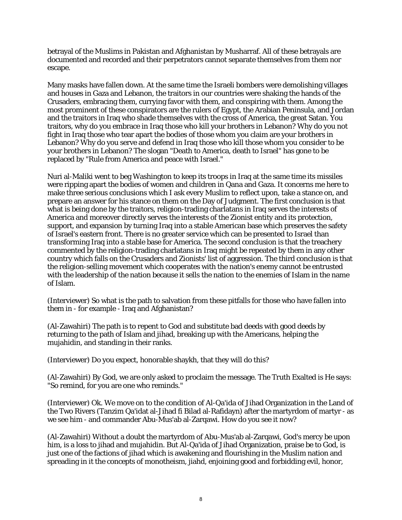betrayal of the Muslims in Pakistan and Afghanistan by Musharraf. All of these betrayals are documented and recorded and their perpetrators cannot separate themselves from them nor escape.

Many masks have fallen down. At the same time the Israeli bombers were demolishing villages and houses in Gaza and Lebanon, the traitors in our countries were shaking the hands of the Crusaders, embracing them, currying favor with them, and conspiring with them. Among the most prominent of these conspirators are the rulers of Egypt, the Arabian Peninsula, and Jordan and the traitors in Iraq who shade themselves with the cross of America, the great Satan. You traitors, why do you embrace in Iraq those who kill your brothers in Lebanon? Why do you not fight in Iraq those who tear apart the bodies of those whom you claim are your brothers in Lebanon? Why do you serve and defend in Iraq those who kill those whom you consider to be your brothers in Lebanon? The slogan "Death to America, death to Israel" has gone to be replaced by "Rule from America and peace with Israel."

Nuri al-Maliki went to beg Washington to keep its troops in Iraq at the same time its missiles were ripping apart the bodies of women and children in Qana and Gaza. It concerns me here to make three serious conclusions which I ask every Muslim to reflect upon, take a stance on, and prepare an answer for his stance on them on the Day of Judgment. The first conclusion is that what is being done by the traitors, religion-trading charlatans in Iraq serves the interests of America and moreover directly serves the interests of the Zionist entity and its protection, support, and expansion by turning Iraq into a stable American base which preserves the safety of Israel's eastern front. There is no greater service which can be presented to Israel than transforming Iraq into a stable base for America. The second conclusion is that the treachery commented by the religion-trading charlatans in Iraq might be repeated by them in any other country which falls on the Crusaders and Zionists' list of aggression. The third conclusion is that the religion-selling movement which cooperates with the nation's enemy cannot be entrusted with the leadership of the nation because it sells the nation to the enemies of Islam in the name of Islam.

(Interviewer) So what is the path to salvation from these pitfalls for those who have fallen into them in - for example - Iraq and Afghanistan?

(Al-Zawahiri) The path is to repent to God and substitute bad deeds with good deeds by returning to the path of Islam and jihad, breaking up with the Americans, helping the mujahidin, and standing in their ranks.

(Interviewer) Do you expect, honorable shaykh, that they will do this?

(Al-Zawahiri) By God, we are only asked to proclaim the message. The Truth Exalted is He says: "So remind, for you are one who reminds."

(Interviewer) Ok. We move on to the condition of Al-Qa'ida of Jihad Organization in the Land of the Two Rivers (Tanzim Qa'idat al-Jihad fi Bilad al-Rafidayn) after the martyrdom of martyr - as we see him - and commander Abu-Mus'ab al-Zarqawi. How do you see it now?

(Al-Zawahiri) Without a doubt the martyrdom of Abu-Mus'ab al-Zarqawi, God's mercy be upon him, is a loss to jihad and mujahidin. But Al-Qa'ida of Jihad Organization, praise be to God, is just one of the factions of jihad which is awakening and flourishing in the Muslim nation and spreading in it the concepts of monotheism, jiahd, enjoining good and forbidding evil, honor,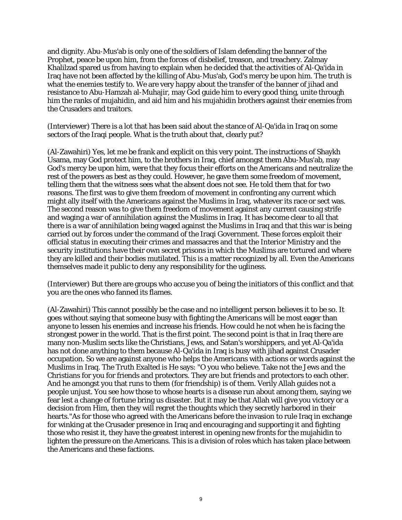and dignity. Abu-Mus'ab is only one of the soldiers of Islam defending the banner of the Prophet, peace be upon him, from the forces of disbelief, treason, and treachery. Zalmay Khalilzad spared us from having to explain when he decided that the activities of Al-Qa'ida in Iraq have not been affected by the killing of Abu-Mus'ab, God's mercy be upon him. The truth is what the enemies testify to. We are very happy about the transfer of the banner of jihad and resistance to Abu-Hamzah al-Muhajir, may God guide him to every good thing, unite through him the ranks of mujahidin, and aid him and his mujahidin brothers against their enemies from the Crusaders and traitors.

(Interviewer) There is a lot that has been said about the stance of Al-Qa'ida in Iraq on some sectors of the Iraqi people. What is the truth about that, clearly put?

(Al-Zawahiri) Yes, let me be frank and explicit on this very point. The instructions of Shaykh Usama, may God protect him, to the brothers in Iraq, chief amongst them Abu-Mus'ab, may God's mercy be upon him, were that they focus their efforts on the Americans and neutralize the rest of the powers as best as they could. However, he gave them some freedom of movement, telling them that the witness sees what the absent does not see. He told them that for two reasons. The first was to give them freedom of movement in confronting any current which might ally itself with the Americans against the Muslims in Iraq, whatever its race or sect was. The second reason was to give them freedom of movement against any current causing strife and waging a war of annihilation against the Muslims in Iraq. It has become clear to all that there is a war of annihilation being waged against the Muslims in Iraq and that this war is being carried out by forces under the command of the Iraqi Government. These forces exploit their official status in executing their crimes and massacres and that the Interior Ministry and the security institutions have their own secret prisons in which the Muslims are tortured and where they are killed and their bodies mutilated. This is a matter recognized by all. Even the Americans themselves made it public to deny any responsibility for the ugliness.

(Interviewer) But there are groups who accuse you of being the initiators of this conflict and that you are the ones who fanned its flames.

(Al-Zawahiri) This cannot possibly be the case and no intelligent person believes it to be so. It goes without saying that someone busy with fighting the Americans will be most eager than anyone to lessen his enemies and increase his friends. How could he not when he is facing the strongest power in the world. That is the first point. The second point is that in Iraq there are many non-Muslim sects like the Christians, Jews, and Satan's worshippers, and yet Al-Qa'ida has not done anything to them because Al-Qa'ida in Iraq is busy with jihad against Crusader occupation. So we are against anyone who helps the Americans with actions or words against the Muslims in Iraq. The Truth Exalted is He says: "O you who believe. Take not the Jews and the Christians for you for friends and protectors. They are but friends and protectors to each other. And he amongst you that runs to them (for friendship) is of them. Verily Allah guides not a people unjust. You see how those to whose hearts is a disease run about among them, saying we fear lest a change of fortune bring us disaster. But it may be that Allah will give you victory or a decision from Him, then they will regret the thoughts which they secretly harbored in their hearts."As for those who agreed with the Americans before the invasion to rule Iraq in exchange for winking at the Crusader presence in Iraq and encouraging and supporting it and fighting those who resist it, they have the greatest interest in opening new fronts for the mujahidin to lighten the pressure on the Americans. This is a division of roles which has taken place between the Americans and these factions.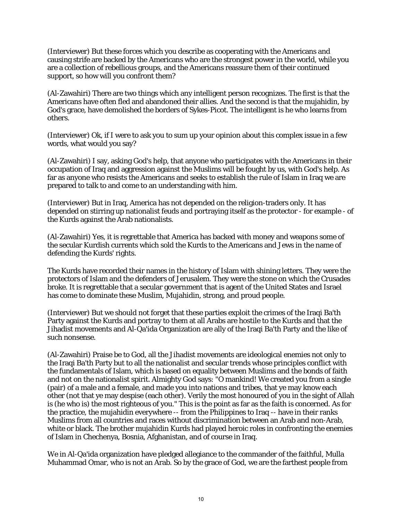(Interviewer) But these forces which you describe as cooperating with the Americans and causing strife are backed by the Americans who are the strongest power in the world, while you are a collection of rebellious groups, and the Americans reassure them of their continued support, so how will you confront them?

(Al-Zawahiri) There are two things which any intelligent person recognizes. The first is that the Americans have often fled and abandoned their allies. And the second is that the mujahidin, by God's grace, have demolished the borders of Sykes-Picot. The intelligent is he who learns from others.

(Interviewer) Ok, if I were to ask you to sum up your opinion about this complex issue in a few words, what would you say?

(Al-Zawahiri) I say, asking God's help, that anyone who participates with the Americans in their occupation of Iraq and aggression against the Muslims will be fought by us, with God's help. As far as anyone who resists the Americans and seeks to establish the rule of Islam in Iraq we are prepared to talk to and come to an understanding with him.

(Interviewer) But in Iraq, America has not depended on the religion-traders only. It has depended on stirring up nationalist feuds and portraying itself as the protector - for example - of the Kurds against the Arab nationalists.

(Al-Zawahiri) Yes, it is regrettable that America has backed with money and weapons some of the secular Kurdish currents which sold the Kurds to the Americans and Jews in the name of defending the Kurds' rights.

The Kurds have recorded their names in the history of Islam with shining letters. They were the protectors of Islam and the defenders of Jerusalem. They were the stone on which the Crusades broke. It is regrettable that a secular government that is agent of the United States and Israel has come to dominate these Muslim, Mujahidin, strong, and proud people.

(Interviewer) But we should not forget that these parties exploit the crimes of the Iraqi Ba'th Party against the Kurds and portray to them at all Arabs are hostile to the Kurds and that the Jihadist movements and Al-Qa'ida Organization are ally of the Iraqi Ba'th Party and the like of such nonsense.

(Al-Zawahiri) Praise be to God, all the Jihadist movements are ideological enemies not only to the Iraqi Ba'th Party but to all the nationalist and secular trends whose principles conflict with the fundamentals of Islam, which is based on equality between Muslims and the bonds of faith and not on the nationalist spirit. Almighty God says: "O mankind! We created you from a single (pair) of a male and a female, and made you into nations and tribes, that ye may know each other (not that ye may despise (each other). Verily the most honoured of you in the sight of Allah is (he who is) the most righteous of you." This is the point as far as the faith is concerned. As for the practice, the mujahidin everywhere -- from the Philippines to Iraq -- have in their ranks Muslims from all countries and races without discrimination between an Arab and non-Arab, white or black. The brother mujahidin Kurds had played heroic roles in confronting the enemies of Islam in Chechenya, Bosnia, Afghanistan, and of course in Iraq.

We in Al-Qa'ida organization have pledged allegiance to the commander of the faithful, Mulla Muhammad Omar, who is not an Arab. So by the grace of God, we are the farthest people from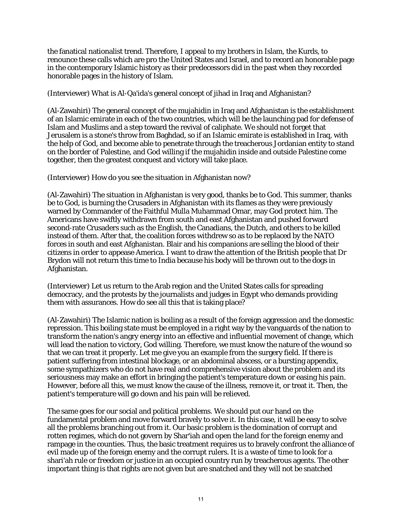the fanatical nationalist trend. Therefore, I appeal to my brothers in Islam, the Kurds, to renounce these calls which are pro the United States and Israel, and to record an honorable page in the contemporary Islamic history as their predecessors did in the past when they recorded honorable pages in the history of Islam.

(Interviewer) What is Al-Qa'ida's general concept of jihad in Iraq and Afghanistan?

(Al-Zawahiri) The general concept of the mujahidin in Iraq and Afghanistan is the establishment of an Islamic emirate in each of the two countries, which will be the launching pad for defense of Islam and Muslims and a step toward the revival of caliphate. We should not forget that Jerusalem is a stone's throw from Baghdad, so if an Islamic emirate is established in Iraq, with the help of God, and become able to penetrate through the treacherous Jordanian entity to stand on the border of Palestine, and God willing if the mujahidin inside and outside Palestine come together, then the greatest conquest and victory will take place.

(Interviewer) How do you see the situation in Afghanistan now?

(Al-Zawahiri) The situation in Afghanistan is very good, thanks be to God. This summer, thanks be to God, is burning the Crusaders in Afghanistan with its flames as they were previously warned by Commander of the Faithful Mulla Muhammad Omar, may God protect him. The Americans have swiftly withdrawn from south and east Afghanistan and pushed forward second-rate Crusaders such as the English, the Canadians, the Dutch, and others to be killed instead of them. After that, the coalition forces withdrew so as to be replaced by the NATO forces in south and east Afghanistan. Blair and his companions are selling the blood of their citizens in order to appease America. I want to draw the attention of the British people that Dr Brydon will not return this time to India because his body will be thrown out to the dogs in Afghanistan.

(Interviewer) Let us return to the Arab region and the United States calls for spreading democracy, and the protests by the journalists and judges in Egypt who demands providing them with assurances. How do see all this that is taking place?

(Al-Zawahiri) The Islamic nation is boiling as a result of the foreign aggression and the domestic repression. This boiling state must be employed in a right way by the vanguards of the nation to transform the nation's angry energy into an effective and influential movement of change, which will lead the nation to victory, God willing. Therefore, we must know the nature of the wound so that we can treat it properly. Let me give you an example from the surgery field. If there is patient suffering from intestinal blockage, or an abdominal abscess, or a bursting appendix, some sympathizers who do not have real and comprehensive vision about the problem and its seriousness may make an effort in bringing the patient's temperature down or easing his pain. However, before all this, we must know the cause of the illness, remove it, or treat it. Then, the patient's temperature will go down and his pain will be relieved.

The same goes for our social and political problems. We should put our hand on the fundamental problem and move forward bravely to solve it. In this case, it will be easy to solve all the problems branching out from it. Our basic problem is the domination of corrupt and rotten regimes, which do not govern by Shar'iah and open the land for the foreign enemy and rampage in the counties. Thus, the basic treatment requires us to bravely confront the alliance of evil made up of the foreign enemy and the corrupt rulers. It is a waste of time to look for a shari'ah rule or freedom or justice in an occupied country run by treacherous agents. The other important thing is that rights are not given but are snatched and they will not be snatched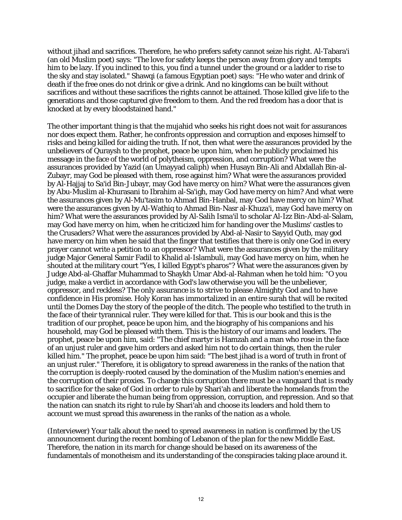without jihad and sacrifices. Therefore, he who prefers safety cannot seize his right. Al-Tabara'i (an old Muslim poet) says: "The love for safety keeps the person away from glory and tempts him to be lazy. If you inclined to this, you find a tunnel under the ground or a ladder to rise to the sky and stay isolated." Shawqi (a famous Egyptian poet) says: "He who water and drink of death if the free ones do not drink or give a drink. And no kingdoms can be built without sacrifices and without these sacrifices the rights cannot be attained. Those killed give life to the generations and those captured give freedom to them. And the red freedom has a door that is knocked at by every bloodstained hand."

The other important thing is that the mujahid who seeks his right does not wait for assurances nor does expect them. Rather, he confronts oppression and corruption and exposes himself to risks and being killed for aiding the truth. If not, then what were the assurances provided by the unbelievers of Quraysh to the prophet, peace be upon him, when he publicly proclaimed his message in the face of the world of polytheism, oppression, and corruption? What were the assurances provided by Yazid (an Umayyad caliph) when Husayn Bin-Ali and Abdallah Bin-al-Zubayr, may God be pleased with them, rose against him? What were the assurances provided by Al-Hajjaj to Sa'id Bin-Jubayr, may God have mercy on him? What were the assurances given by Abu-Muslim al-Khurasani to Ibrahim al-Sa'igh, may God have mercy on him? And what were the assurances given by Al-Mu'tasim to Ahmad Bin-Hanbal, may God have mercy on him? What were the assurances given by Al-Wathiq to Ahmad Bin-Nasr al-Khuza'i, may God have mercy on him? What were the assurances provided by Al-Salih Isma'il to scholar Al-Izz Bin-Abd-al-Salam, may God have mercy on him, when he criticized him for handing over the Muslims' castles to the Crusaders? What were the assurances provided by Abd-al-Nasir to Sayyid Qutb, may god have mercy on him when he said that the finger that testifies that there is only one God in every prayer cannot write a petition to an oppressor? What were the assurances given by the military judge Major General Samir Fadil to Khalid al-Islambuli, may God have mercy on him, when he shouted at the military court "Yes, I killed Egypt's pharos"? What were the assurances given by Judge Abd-al-Ghaffar Muhammad to Shaykh Umar Abd-al-Rahman when he told him: "O you judge, make a verdict in accordance with God's law otherwise you will be the unbeliever, oppressor, and reckless? The only assurance is to strive to please Almighty God and to have confidence in His promise. Holy Koran has immortalized in an entire surah that will be recited until the Domes Day the story of the people of the ditch. The people who testified to the truth in the face of their tyrannical ruler. They were killed for that. This is our book and this is the tradition of our prophet, peace be upon him, and the biography of his companions and his household, may God be pleased with them. This is the history of our imams and leaders. The prophet, peace be upon him, said: "The chief martyr is Hamzah and a man who rose in the face of an unjust ruler and gave him orders and asked him not to do certain things, then the ruler killed him." The prophet, peace be upon him said: "The best jihad is a word of truth in front of an unjust ruler." Therefore, it is obligatory to spread awareness in the ranks of the nation that the corruption is deeply-rooted caused by the domination of the Muslim nation's enemies and the corruption of their proxies. To change this corruption there must be a vanguard that is ready to sacrifice for the sake of God in order to rule by Shari'ah and liberate the homelands from the occupier and liberate the human being from oppression, corruption, and repression. And so that the nation can snatch its right to rule by Shari'ah and choose its leaders and hold them to account we must spread this awareness in the ranks of the nation as a whole.

(Interviewer) Your talk about the need to spread awareness in nation is confirmed by the US announcement during the recent bombing of Lebanon of the plan for the new Middle East. Therefore, the nation in its march for change should be based on its awareness of the fundamentals of monotheism and its understanding of the conspiracies taking place around it.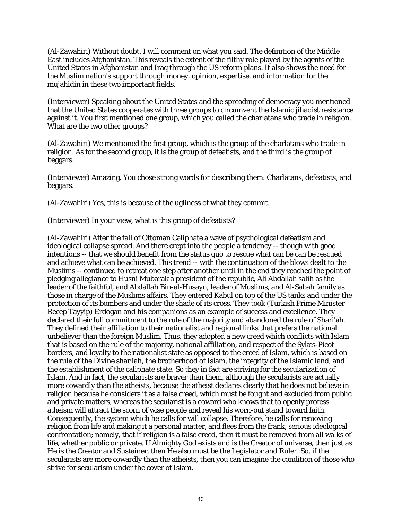(Al-Zawahiri) Without doubt. I will comment on what you said. The definition of the Middle East includes Afghanistan. This reveals the extent of the filthy role played by the agents of the United States in Afghanistan and Iraq through the US reform plans. It also shows the need for the Muslim nation's support through money, opinion, expertise, and information for the mujahidin in these two important fields.

(Interviewer) Speaking about the United States and the spreading of democracy you mentioned that the United States cooperates with three groups to circumvent the Islamic jihadist resistance against it. You first mentioned one group, which you called the charlatans who trade in religion. What are the two other groups?

(Al-Zawahiri) We mentioned the first group, which is the group of the charlatans who trade in religion. As for the second group, it is the group of defeatists, and the third is the group of beggars.

(Interviewer) Amazing. You chose strong words for describing them: Charlatans, defeatists, and beggars.

(Al-Zawahiri) Yes, this is because of the ugliness of what they commit.

(Interviewer) In your view, what is this group of defeatists?

(Al-Zawahiri) After the fall of Ottoman Caliphate a wave of psychological defeatism and ideological collapse spread. And there crept into the people a tendency -- though with good intentions -- that we should benefit from the status quo to rescue what can be can be rescued and achieve what can be achieved. This trend -- with the continuation of the blows dealt to the Muslims -- continued to retreat one step after another until in the end they reached the point of pledging allegiance to Husni Mubarak a president of the republic, Ali Abdallah salih as the leader of the faithful, and Abdallah Bin-al-Husayn, leader of Muslims, and Al-Sabah family as those in charge of the Muslims affairs. They entered Kabul on top of the US tanks and under the protection of its bombers and under the shade of its cross. They took (Turkish Prime Minister Recep Tayyip) Erdogan and his companions as an example of success and excellence. They declared their full commitment to the rule of the majority and abandoned the rule of Shari'ah. They defined their affiliation to their nationalist and regional links that prefers the national unbeliever than the foreign Muslim. Thus, they adopted a new creed which conflicts with Islam that is based on the rule of the majority, national affiliation, and respect of the Sykes-Picot borders, and loyalty to the nationalist state as opposed to the creed of Islam, which is based on the rule of the Divine shar'iah, the brotherhood of Islam, the integrity of the Islamic land, and the establishment of the caliphate state. So they in fact are striving for the secularization of Islam. And in fact, the secularists are braver than them, although the secularists are actually more cowardly than the atheists, because the atheist declares clearly that he does not believe in religion because he considers it as a false creed, which must be fought and excluded from public and private matters, whereas the secularist is a coward who knows that to openly profess atheism will attract the scorn of wise people and reveal his worn-out stand toward faith. Consequently, the system which he calls for will collapse. Therefore, he calls for removing religion from life and making it a personal matter, and flees from the frank, serious ideological confrontation; namely, that if religion is a false creed, then it must be removed from all walks of life, whether public or private. If Almighty God exists and is the Creator of universe, then just as He is the Creator and Sustainer, then He also must be the Legislator and Ruler. So, if the secularists are more cowardly than the atheists, then you can imagine the condition of those who strive for secularism under the cover of Islam.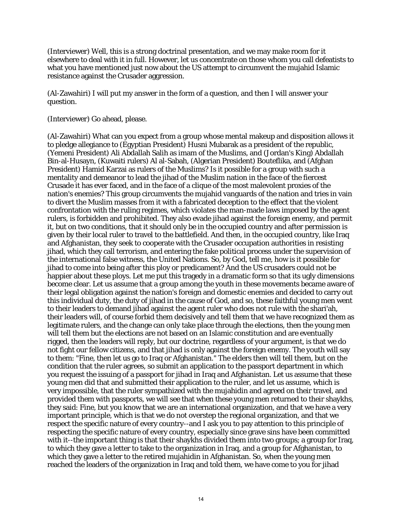(Interviewer) Well, this is a strong doctrinal presentation, and we may make room for it elsewhere to deal with it in full. However, let us concentrate on those whom you call defeatists to what you have mentioned just now about the US attempt to circumvent the mujahid Islamic resistance against the Crusader aggression.

(Al-Zawahiri) I will put my answer in the form of a question, and then I will answer your question.

(Interviewer) Go ahead, please.

(Al-Zawahiri) What can you expect from a group whose mental makeup and disposition allows it to pledge allegiance to (Egyptian President) Husni Mubarak as a president of the republic, (Yemeni President) Ali Abdallah Salih as imam of the Muslims, and (Jordan's King) Abdallah Bin-al-Husayn, (Kuwaiti rulers) Al al-Sabah, (Algerian President) Bouteflika, and (Afghan President) Hamid Karzai as rulers of the Muslims? Is it possible for a group with such a mentality and demeanor to lead the jihad of the Muslim nation in the face of the fiercest Crusade it has ever faced, and in the face of a clique of the most malevolent proxies of the nation's enemies? This group circumvents the mujahid vanguards of the nation and tries in vain to divert the Muslim masses from it with a fabricated deception to the effect that the violent confrontation with the ruling regimes, which violates the man-made laws imposed by the agent rulers, is forbidden and prohibited. They also evade jihad against the foreign enemy, and permit it, but on two conditions, that it should only be in the occupied country and after permission is given by their local ruler to travel to the battlefield. And then, in the occupied country, like Iraq and Afghanistan, they seek to cooperate with the Crusader occupation authorities in resisting jihad, which they call terrorism, and entering the fake political process under the supervision of the international false witness, the United Nations. So, by God, tell me, how is it possible for jihad to come into being after this ploy or predicament? And the US crusaders could not be happier about these ploys. Let me put this tragedy in a dramatic form so that its ugly dimensions become clear. Let us assume that a group among the youth in these movements became aware of their legal obligation against the nation's foreign and domestic enemies and decided to carry out this individual duty, the duty of jihad in the cause of God, and so, these faithful young men went to their leaders to demand jihad against the agent ruler who does not rule with the shari'ah, their leaders will, of course forbid them decisively and tell them that we have recognized them as legitimate rulers, and the change can only take place through the elections, then the young men will tell them but the elections are not based on an Islamic constitution and are eventually rigged, then the leaders will reply, but our doctrine, regardless of your argument, is that we do not fight our fellow citizens, and that jihad is only against the foreign enemy. The youth will say to them: "Fine, then let us go to Iraq or Afghanistan." The elders then will tell them, but on the condition that the ruler agrees, so submit an application to the passport department in which you request the issuing of a passport for jihad in Iraq and Afghanistan. Let us assume that these young men did that and submitted their application to the ruler, and let us assume, which is very impossible, that the ruler sympathized with the mujahidin and agreed on their travel, and provided them with passports, we will see that when these young men returned to their shaykhs, they said: Fine, but you know that we are an international organization, and that we have a very important principle, which is that we do not overstep the regional organization, and that we respect the specific nature of every country--and I ask you to pay attention to this principle of respecting the specific nature of every country, especially since grave sins have been committed with it--the important thing is that their shaykhs divided them into two groups; a group for Iraq, to which they gave a letter to take to the organization in Iraq, and a group for Afghanistan, to which they gave a letter to the retired mujahidin in Afghanistan. So, when the young men reached the leaders of the organization in Iraq and told them, we have come to you for jihad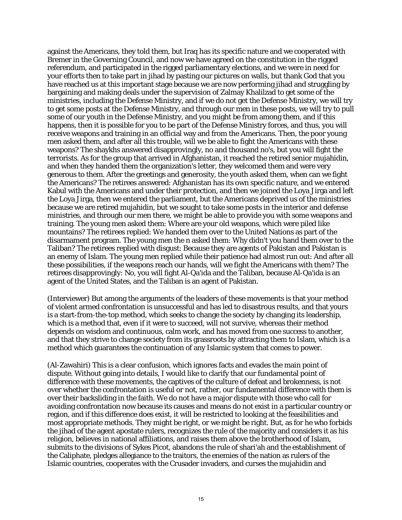against the Americans, they told them, but Iraq has its specific nature and we cooperated with Bremer in the Governing Council, and now we have agreed on the constitution in the rigged referendum, and participated in the rigged parliamentary elections, and we were in need for your efforts then to take part in jihad by pasting our pictures on walls, but thank God that you have reached us at this important stage because we are now performing jihad and struggling by bargaining and making deals under the supervision of Zalmay Khalilzad to get some of the ministries, including the Defense Ministry, and if we do not get the Defense Ministry, we will try to get some posts at the Defense Ministry, and through our men in these posts, we will try to pull some of our youth in the Defense Ministry, and you might be from among them, and if this happens, then it is possible for you to be part of the Defense Ministry forces, and thus, you will receive weapons and training in an official way and from the Americans. Then, the poor young men asked them, and after all this trouble, will we be able to fight the Americans with these weapons? The shaykhs answered disapprovingly, no and thousand no's, but you will fight the terrorists. As for the group that arrived in Afghanistan, it reached the retired senior mujahidin, and when they handed them the organization's letter, they welcomed them and were very generous to them. After the greetings and generosity, the youth asked them, when can we fight the Americans? The retirees answered: Afghanistan has its own specific nature, and we entered Kabul with the Americans and under their protection, and then we joined the Loya Jirga and left the Loya Jirga, then we entered the parliament, but the Americans deprived us of the ministries because we are retired mujahidin, but we sought to take some posts in the interior and defense ministries, and through our men there, we might be able to provide you with some weapons and training. The young men asked them: Where are your old weapons, which were piled like mountains? The retirees replied: We handed them over to the United Nations as part of the disarmament program. The young men the n asked them: Why didn't you hand them over to the Taliban? The retirees replied with disgust: Because they are agents of Pakistan and Pakistan is an enemy of Islam. The young men replied while their patience had almost run out: And after all these possibilities, if the weapons reach our hands, will we fight the Americans with them? The retirees disapprovingly: No, you will fight Al-Qa'ida and the Taliban, because Al-Qa'ida is an agent of the United States, and the Taliban is an agent of Pakistan.

(Interviewer) But among the arguments of the leaders of these movements is that your method of violent armed confrontation is unsuccessful and has led to disastrous results, and that yours is a start-from-the-top method, which seeks to change the society by changing its leadership, which is a method that, even if it were to succeed, will not survive, whereas their method depends on wisdom and continuous, calm work, and has moved from one success to another, and that they strive to change society from its grassroots by attracting them to Islam, which is a method which guarantees the continuation of any Islamic system that comes to power.

(Al-Zawahiri) This is a clear confusion, which ignores facts and evades the main point of dispute. Without going into details, I would like to clarify that our fundamental point of difference with these movements, the captives of the culture of defeat and brokenness, is not over whether the confrontation is useful or not, rather, our fundamental difference with them is over their backsliding in the faith. We do not have a major dispute with those who call for avoiding confrontation now because its causes and means do not exist in a particular country or region, and if this difference does exist, it will be restricted to looking at the feasibilities and most appropriate methods. They might be right, or we might be right. But, as for he who forbids the jihad of the agent apostate rulers, recognizes the rule of the majority and considers it as his religion, believes in national affiliations, and raises them above the brotherhood of Islam, submits to the divisions of Sykes Picot, abandons the rule of shari'ah and the establishment of the Caliphate, pledges allegiance to the traitors, the enemies of the nation as rulers of the Islamic countries, cooperates with the Crusader invaders, and curses the mujahidin and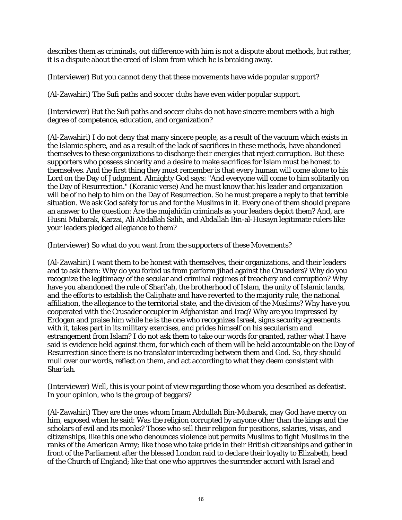describes them as criminals, out difference with him is not a dispute about methods, but rather, it is a dispute about the creed of Islam from which he is breaking away.

(Interviewer) But you cannot deny that these movements have wide popular support?

(Al-Zawahiri) The Sufi paths and soccer clubs have even wider popular support.

(Interviewer) But the Sufi paths and soccer clubs do not have sincere members with a high degree of competence, education, and organization?

(Al-Zawahiri) I do not deny that many sincere people, as a result of the vacuum which exists in the Islamic sphere, and as a result of the lack of sacrifices in these methods, have abandoned themselves to these organizations to discharge their energies that reject corruption. But these supporters who possess sincerity and a desire to make sacrifices for Islam must be honest to themselves. And the first thing they must remember is that every human will come alone to his Lord on the Day of Judgment. Almighty God says: "And everyone will come to him solitarily on the Day of Resurrection." (Koranic verse) And he must know that his leader and organization will be of no help to him on the Day of Resurrection. So he must prepare a reply to that terrible situation. We ask God safety for us and for the Muslims in it. Every one of them should prepare an answer to the question: Are the mujahidin criminals as your leaders depict them? And, are Husni Mubarak, Karzai, Ali Abdallah Salih, and Abdallah Bin-al-Husayn legitimate rulers like your leaders pledged allegiance to them?

(Interviewer) So what do you want from the supporters of these Movements?

(Al-Zawahiri) I want them to be honest with themselves, their organizations, and their leaders and to ask them: Why do you forbid us from perform jihad against the Crusaders? Why do you recognize the legitimacy of the secular and criminal regimes of treachery and corruption? Why have you abandoned the rule of Shari'ah, the brotherhood of Islam, the unity of Islamic lands, and the efforts to establish the Caliphate and have reverted to the majority rule, the national affiliation, the allegiance to the territorial state, and the division of the Muslims? Why have you cooperated with the Crusader occupier in Afghanistan and Iraq? Why are you impressed by Erdogan and praise him while he is the one who recognizes Israel, signs security agreements with it, takes part in its military exercises, and prides himself on his secularism and estrangement from Islam? I do not ask them to take our words for granted, rather what I have said is evidence held against them, for which each of them will be held accountable on the Day of Resurrection since there is no translator interceding between them and God. So, they should mull over our words, reflect on them, and act according to what they deem consistent with Shar'iah.

(Interviewer) Well, this is your point of view regarding those whom you described as defeatist. In your opinion, who is the group of beggars?

(Al-Zawahiri) They are the ones whom Imam Abdullah Bin-Mubarak, may God have mercy on him, exposed when he said: Was the religion corrupted by anyone other than the kings and the scholars of evil and its monks? Those who sell their religion for positions, salaries, visas, and citizenships, like this one who denounces violence but permits Muslims to fight Muslims in the ranks of the American Army; like those who take pride in their British citizenships and gather in front of the Parliament after the blessed London raid to declare their loyalty to Elizabeth, head of the Church of England; like that one who approves the surrender accord with Israel and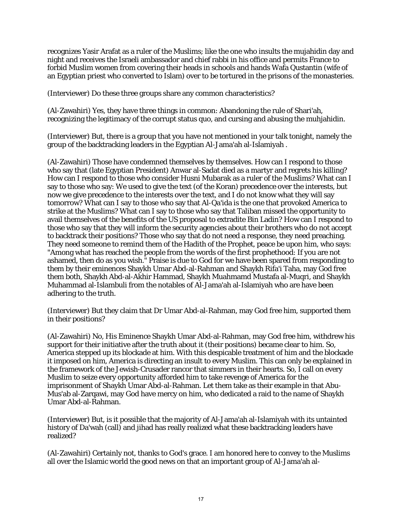recognizes Yasir Arafat as a ruler of the Muslims; like the one who insults the mujahidin day and night and receives the Israeli ambassador and chief rabbi in his office and permits France to forbid Muslim women from covering their heads in schools and hands Wafa Qustantin (wife of an Egyptian priest who converted to Islam) over to be tortured in the prisons of the monasteries.

(Interviewer) Do these three groups share any common characteristics?

(Al-Zawahiri) Yes, they have three things in common: Abandoning the rule of Shari'ah, recognizing the legitimacy of the corrupt status quo, and cursing and abusing the muhjahidin.

(Interviewer) But, there is a group that you have not mentioned in your talk tonight, namely the group of the backtracking leaders in the Egyptian Al-Jama'ah al-Islamiyah .

(Al-Zawahiri) Those have condemned themselves by themselves. How can I respond to those who say that (late Egyptian President) Anwar al-Sadat died as a martyr and regrets his killing? How can I respond to those who consider Husni Mubarak as a ruler of the Muslims? What can I say to those who say: We used to give the text (of the Koran) precedence over the interests, but now we give precedence to the interests over the text, and I do not know what they will say tomorrow? What can I say to those who say that Al-Qa'ida is the one that provoked America to strike at the Muslims? What can I say to those who say that Taliban missed the opportunity to avail themselves of the benefits of the US proposal to extradite Bin Ladin? How can I respond to those who say that they will inform the security agencies about their brothers who do not accept to backtrack their positions? Those who say that do not need a response, they need preaching. They need someone to remind them of the Hadith of the Prophet, peace be upon him, who says: "Among what has reached the people from the words of the first prophethood: If you are not ashamed, then do as you wish." Praise is due to God for we have been spared from responding to them by their eminences Shaykh Umar Abd-al-Rahman and Shaykh Rifa'i Taha, may God free them both, Shaykh Abd-al-Akhir Hammad, Shaykh Muahmamd Mustafa al-Muqri, and Shaykh Muhammad al-Islambuli from the notables of Al-Jama'ah al-Islamiyah who are have been adhering to the truth.

(Interviewer) But they claim that Dr Umar Abd-al-Rahman, may God free him, supported them in their positions?

(Al-Zawahiri) No, His Eminence Shaykh Umar Abd-al-Rahman, may God free him, withdrew his support for their initiative after the truth about it (their positions) became clear to him. So, America stepped up its blockade at him. With this despicable treatment of him and the blockade it imposed on him, America is directing an insult to every Muslim. This can only be explained in the framework of the Jewish-Crusader rancor that simmers in their hearts. So, I call on every Muslim to seize every opportunity afforded him to take revenge of America for the imprisonment of Shaykh Umar Abd-al-Rahman. Let them take as their example in that Abu-Mus'ab al-Zarqawi, may God have mercy on him, who dedicated a raid to the name of Shaykh Umar Abd-al-Rahman.

(Interviewer) But, is it possible that the majority of Al-Jama'ah al-Islamiyah with its untainted history of Da'wah (call) and jihad has really realized what these backtracking leaders have realized?

(Al-Zawahiri) Certainly not, thanks to God's grace. I am honored here to convey to the Muslims all over the Islamic world the good news on that an important group of Al-Jama'ah al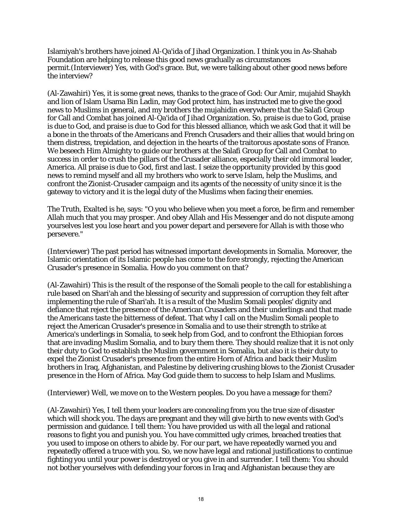Islamiyah's brothers have joined Al-Qa'ida of Jihad Organization. I think you in As-Shahab Foundation are helping to release this good news gradually as circumstances permit.(Interviewer) Yes, with God's grace. But, we were talking about other good news before the interview?

(Al-Zawahiri) Yes, it is some great news, thanks to the grace of God: Our Amir, mujahid Shaykh and lion of Islam Usama Bin Ladin, may God protect him, has instructed me to give the good news to Muslims in general, and my brothers the mujahidin everywhere that the Salafi Group for Call and Combat has joined Al-Qa'ida of Jihad Organization. So, praise is due to God, praise is due to God, and praise is due to God for this blessed alliance, which we ask God that it will be a bone in the throats of the Americans and French Crusaders and their allies that would bring on them distress, trepidation, and dejection in the hearts of the traitorous apostate sons of France. We beseech Him Almighty to guide our brothers at the Salafi Group for Call and Combat to success in order to crush the pillars of the Crusader alliance, especially their old immoral leader, America. All praise is due to God, first and last. I seize the opportunity provided by this good news to remind myself and all my brothers who work to serve Islam, help the Muslims, and confront the Zionist-Crusader campaign and its agents of the necessity of unity since it is the gateway to victory and it is the legal duty of the Muslims when facing their enemies.

The Truth, Exalted is he, says: "O you who believe when you meet a force, be firm and remember Allah much that you may prosper. And obey Allah and His Messenger and do not dispute among yourselves lest you lose heart and you power depart and persevere for Allah is with those who persevere."

(Interviewer) The past period has witnessed important developments in Somalia. Moreover, the Islamic orientation of its Islamic people has come to the fore strongly, rejecting the American Crusader's presence in Somalia. How do you comment on that?

(Al-Zawahiri) This is the result of the response of the Somali people to the call for establishing a rule based on Shari'ah and the blessing of security and suppression of corruption they felt after implementing the rule of Shari'ah. It is a result of the Muslim Somali peoples' dignity and defiance that reject the presence of the American Crusaders and their underlings and that made the Americans taste the bitterness of defeat. That why I call on the Muslim Somali people to reject the American Crusader's presence in Somalia and to use their strength to strike at America's underlings in Somalia, to seek help from God, and to confront the Ethiopian forces that are invading Muslim Somalia, and to bury them there. They should realize that it is not only their duty to God to establish the Muslim government in Somalia, but also it is their duty to expel the Zionist Crusader's presence from the entire Horn of Africa and back their Muslim brothers in Iraq, Afghanistan, and Palestine by delivering crushing blows to the Zionist Crusader presence in the Horn of Africa. May God guide them to success to help Islam and Muslims.

(Interviewer) Well, we move on to the Western peoples. Do you have a message for them?

(Al-Zawahiri) Yes, I tell them your leaders are concealing from you the true size of disaster which will shock you. The days are pregnant and they will give birth to new events with God's permission and guidance. I tell them: You have provided us with all the legal and rational reasons to fight you and punish you. You have committed ugly crimes, breached treaties that you used to impose on others to abide by. For our part, we have repeatedly warned you and repeatedly offered a truce with you. So, we now have legal and rational justifications to continue fighting you until your power is destroyed or you give in and surrender. I tell them: You should not bother yourselves with defending your forces in Iraq and Afghanistan because they are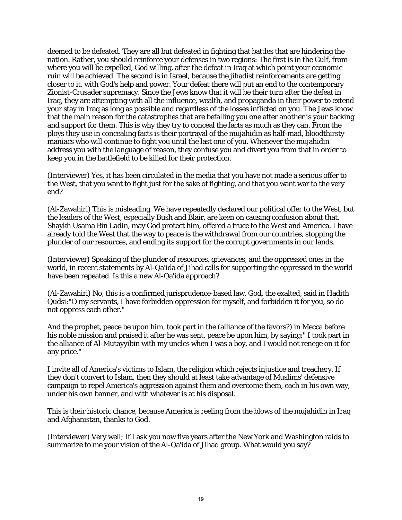deemed to be defeated. They are all but defeated in fighting that battles that are hindering the nation. Rather, you should reinforce your defenses in two regions: The first is in the Gulf, from where you will be expelled, God willing, after the defeat in Iraq at which point your economic ruin will be achieved. The second is in Israel, because the jihadist reinforcements are getting closer to it, with God's help and power. Your defeat there will put an end to the contemporary Zionist-Crusader supremacy. Since the Jews know that it will be their turn after the defeat in Iraq, they are attempting with all the influence, wealth, and propaganda in their power to extend your stay in Iraq as long as possible and regardless of the losses inflicted on you. The Jews know that the main reason for the catastrophes that are befalling you one after another is your backing and support for them. This is why they try to conceal the facts as much as they can. From the ploys they use in concealing facts is their portrayal of the mujahidin as half-mad, bloodthirsty maniacs who will continue to fight you until the last one of you. Whenever the mujahidin address you with the language of reason, they confuse you and divert you from that in order to keep you in the battlefield to be killed for their protection.

(Interviewer) Yes, it has been circulated in the media that you have not made a serious offer to the West, that you want to fight just for the sake of fighting, and that you want war to the very end?

(Al-Zawahiri) This is misleading. We have repeatedly declared our political offer to the West, but the leaders of the West, especially Bush and Blair, are keen on causing confusion about that. Shaykh Usama Bin Ladin, may God protect him, offered a truce to the West and America. I have already told the West that the way to peace is the withdrawal from our countries, stopping the plunder of our resources, and ending its support for the corrupt governments in our lands.

(Interviewer) Speaking of the plunder of resources, grievances, and the oppressed ones in the world, in recent statements by Al-Qa'ida of Jihad calls for supporting the oppressed in the world have been repeated. Is this a new Al-Qa'ida approach?

(Al-Zawahiri) No, this is a confirmed jurisprudence-based law. God, the exalted, said in Hadith Qudsi:"O my servants, I have forbidden oppression for myself, and forbidden it for you, so do not oppress each other."

And the prophet, peace be upon him, took part in the (alliance of the favors?) in Mecca before his noble mission and praised it after he was sent, peace be upon him, by saying:" I took part in the alliance of Al-Mutayyibin with my uncles when I was a boy, and I would not renege on it for any price."

I invite all of America's victims to Islam, the religion which rejects injustice and treachery. If they don't convert to Islam, then they should at least take advantage of Muslims' defensive campaign to repel America's aggression against them and overcome them, each in his own way, under his own banner, and with whatever is at his disposal.

This is their historic chance, because America is reeling from the blows of the mujahidin in Iraq and Afghanistan, thanks to God.

(Interviewer) Very well; If I ask you now five years after the New York and Washington raids to summarize to me your vision of the Al-Qa'ida of Jihad group. What would you say?